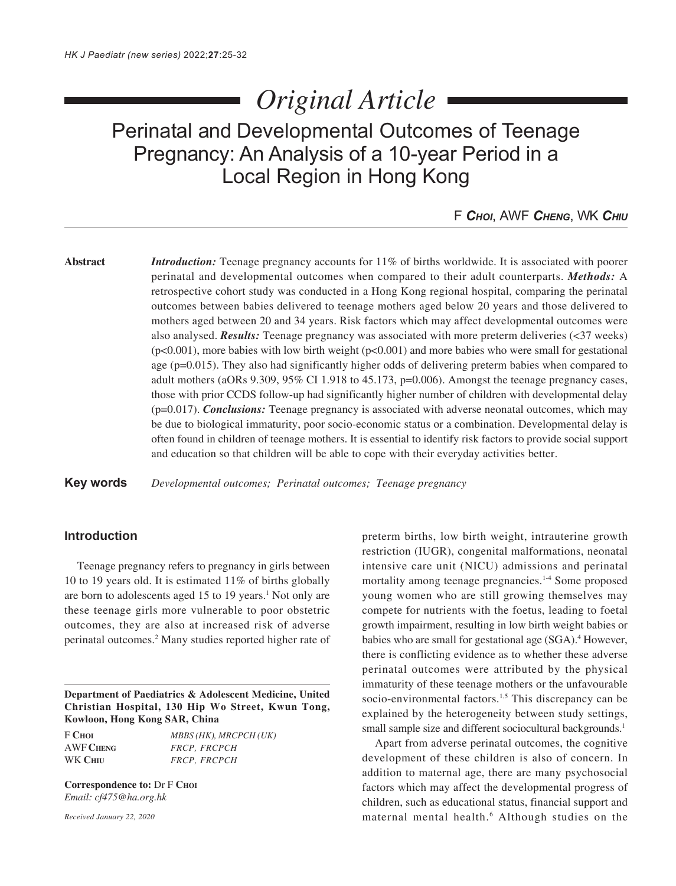# *Original Article*

Perinatal and Developmental Outcomes of Teenage Pregnancy: An Analysis of a 10-year Period in a Local Region in Hong Kong

F *CHOI*, AWF *CHENG*, WK *CHIU*

**Abstract** *Introduction:* Teenage pregnancy accounts for 11% of births worldwide. It is associated with poorer perinatal and developmental outcomes when compared to their adult counterparts. *Methods:* A retrospective cohort study was conducted in a Hong Kong regional hospital, comparing the perinatal outcomes between babies delivered to teenage mothers aged below 20 years and those delivered to mothers aged between 20 and 34 years. Risk factors which may affect developmental outcomes were also analysed. *Results:* Teenage pregnancy was associated with more preterm deliveries (<37 weeks)  $(p<0.001)$ , more babies with low birth weight  $(p<0.001)$  and more babies who were small for gestational age (p=0.015). They also had significantly higher odds of delivering preterm babies when compared to adult mothers (aORs  $9.309, 95\%$  CI 1.918 to 45.173, p=0.006). Amongst the teenage pregnancy cases, those with prior CCDS follow-up had significantly higher number of children with developmental delay (p=0.017). *Conclusions:* Teenage pregnancy is associated with adverse neonatal outcomes, which may be due to biological immaturity, poor socio-economic status or a combination. Developmental delay is often found in children of teenage mothers. It is essential to identify risk factors to provide social support and education so that children will be able to cope with their everyday activities better.

**Key words** *Developmental outcomes; Perinatal outcomes; Teenage pregnancy*

# **Introduction**

Teenage pregnancy refers to pregnancy in girls between 10 to 19 years old. It is estimated 11% of births globally are born to adolescents aged 15 to 19 years.<sup>1</sup> Not only are these teenage girls more vulnerable to poor obstetric outcomes, they are also at increased risk of adverse perinatal outcomes.2 Many studies reported higher rate of

**Department of Paediatrics & Adolescent Medicine, United Christian Hospital, 130 Hip Wo Street, Kwun Tong, Kowloon, Hong Kong SAR, China**

F **CHOI** *MBBS (HK), MRCPCH (UK)* AWF **CHENG** *FRCP, FRCPCH* WK **CHIU** *FRCP, FRCPCH*

**Correspondence to:** Dr F **CHOI** *Email: cf475@ha.org.hk*

*Received January 22, 2020*

preterm births, low birth weight, intrauterine growth restriction (IUGR), congenital malformations, neonatal intensive care unit (NICU) admissions and perinatal mortality among teenage pregnancies.<sup>1-4</sup> Some proposed young women who are still growing themselves may compete for nutrients with the foetus, leading to foetal growth impairment, resulting in low birth weight babies or babies who are small for gestational age (SGA).<sup>4</sup> However, there is conflicting evidence as to whether these adverse perinatal outcomes were attributed by the physical immaturity of these teenage mothers or the unfavourable socio-environmental factors.<sup>1,5</sup> This discrepancy can be explained by the heterogeneity between study settings, small sample size and different sociocultural backgrounds.<sup>1</sup>

Apart from adverse perinatal outcomes, the cognitive development of these children is also of concern. In addition to maternal age, there are many psychosocial factors which may affect the developmental progress of children, such as educational status, financial support and maternal mental health.6 Although studies on the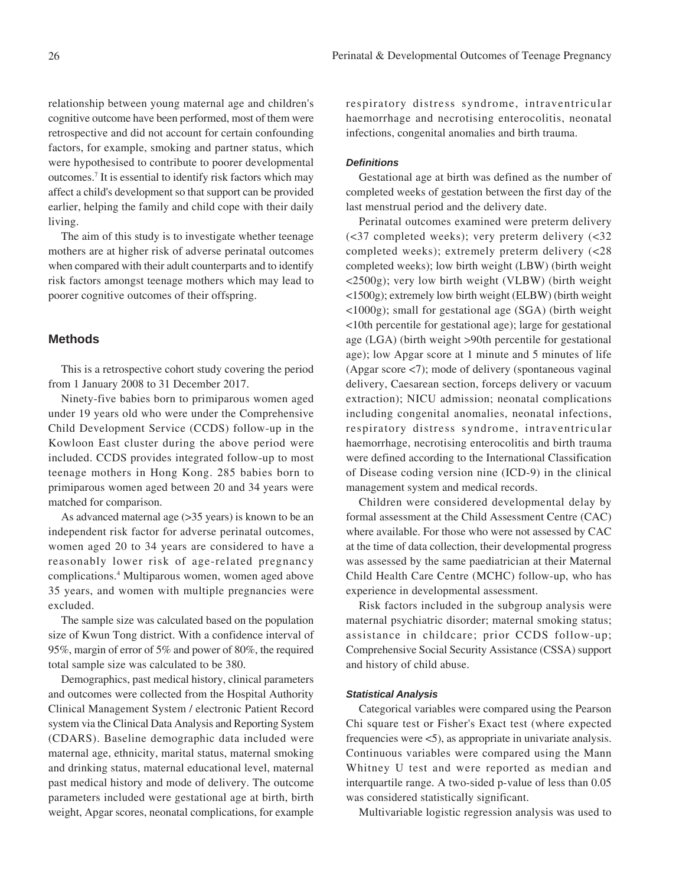relationship between young maternal age and children's cognitive outcome have been performed, most of them were retrospective and did not account for certain confounding factors, for example, smoking and partner status, which were hypothesised to contribute to poorer developmental outcomes.7 It is essential to identify risk factors which may affect a child's development so that support can be provided earlier, helping the family and child cope with their daily living.

The aim of this study is to investigate whether teenage mothers are at higher risk of adverse perinatal outcomes when compared with their adult counterparts and to identify risk factors amongst teenage mothers which may lead to poorer cognitive outcomes of their offspring.

# **Methods**

This is a retrospective cohort study covering the period from 1 January 2008 to 31 December 2017.

Ninety-five babies born to primiparous women aged under 19 years old who were under the Comprehensive Child Development Service (CCDS) follow-up in the Kowloon East cluster during the above period were included. CCDS provides integrated follow-up to most teenage mothers in Hong Kong. 285 babies born to primiparous women aged between 20 and 34 years were matched for comparison.

As advanced maternal age (>35 years) is known to be an independent risk factor for adverse perinatal outcomes, women aged 20 to 34 years are considered to have a reasonably lower risk of age-related pregnancy complications.4 Multiparous women, women aged above 35 years, and women with multiple pregnancies were excluded.

The sample size was calculated based on the population size of Kwun Tong district. With a confidence interval of 95%, margin of error of 5% and power of 80%, the required total sample size was calculated to be 380.

Demographics, past medical history, clinical parameters and outcomes were collected from the Hospital Authority Clinical Management System / electronic Patient Record system via the Clinical Data Analysis and Reporting System (CDARS). Baseline demographic data included were maternal age, ethnicity, marital status, maternal smoking and drinking status, maternal educational level, maternal past medical history and mode of delivery. The outcome parameters included were gestational age at birth, birth weight, Apgar scores, neonatal complications, for example

respiratory distress syndrome, intraventricular haemorrhage and necrotising enterocolitis, neonatal infections, congenital anomalies and birth trauma.

## *Definitions*

Gestational age at birth was defined as the number of completed weeks of gestation between the first day of the last menstrual period and the delivery date.

Perinatal outcomes examined were preterm delivery (<37 completed weeks); very preterm delivery (<32 completed weeks); extremely preterm delivery (<28 completed weeks); low birth weight (LBW) (birth weight <2500g); very low birth weight (VLBW) (birth weight <1500g); extremely low birth weight (ELBW) (birth weight <1000g); small for gestational age (SGA) (birth weight <10th percentile for gestational age); large for gestational age (LGA) (birth weight >90th percentile for gestational age); low Apgar score at 1 minute and 5 minutes of life (Apgar score <7); mode of delivery (spontaneous vaginal delivery, Caesarean section, forceps delivery or vacuum extraction); NICU admission; neonatal complications including congenital anomalies, neonatal infections, respiratory distress syndrome, intraventricular haemorrhage, necrotising enterocolitis and birth trauma were defined according to the International Classification of Disease coding version nine (ICD-9) in the clinical management system and medical records.

Children were considered developmental delay by formal assessment at the Child Assessment Centre (CAC) where available. For those who were not assessed by CAC at the time of data collection, their developmental progress was assessed by the same paediatrician at their Maternal Child Health Care Centre (MCHC) follow-up, who has experience in developmental assessment.

Risk factors included in the subgroup analysis were maternal psychiatric disorder; maternal smoking status; assistance in childcare; prior CCDS follow-up; Comprehensive Social Security Assistance (CSSA) support and history of child abuse.

### *Statistical Analysis*

Categorical variables were compared using the Pearson Chi square test or Fisher's Exact test (where expected frequencies were <5), as appropriate in univariate analysis. Continuous variables were compared using the Mann Whitney U test and were reported as median and interquartile range. A two-sided p-value of less than 0.05 was considered statistically significant.

Multivariable logistic regression analysis was used to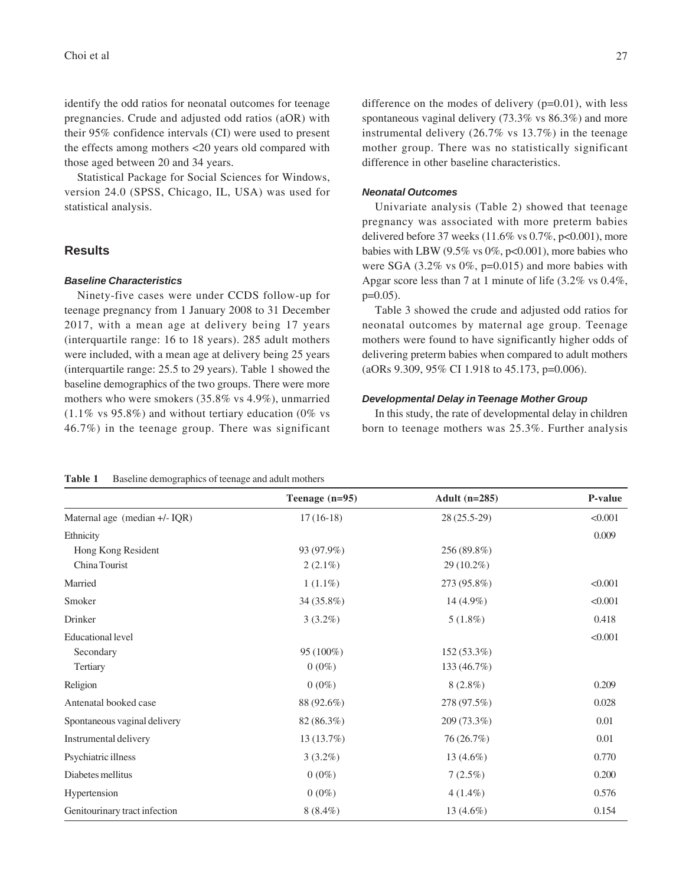identify the odd ratios for neonatal outcomes for teenage pregnancies. Crude and adjusted odd ratios (aOR) with their 95% confidence intervals (CI) were used to present the effects among mothers <20 years old compared with those aged between 20 and 34 years.

Statistical Package for Social Sciences for Windows, version 24.0 (SPSS, Chicago, IL, USA) was used for statistical analysis.

# **Results**

## *Baseline Characteristics*

Ninety-five cases were under CCDS follow-up for teenage pregnancy from 1 January 2008 to 31 December 2017, with a mean age at delivery being 17 years (interquartile range: 16 to 18 years). 285 adult mothers were included, with a mean age at delivery being 25 years (interquartile range: 25.5 to 29 years). Table 1 showed the baseline demographics of the two groups. There were more mothers who were smokers (35.8% vs 4.9%), unmarried  $(1.1\% \text{ vs } 95.8\%)$  and without tertiary education (0% vs 46.7%) in the teenage group. There was significant

difference on the modes of delivery  $(p=0.01)$ , with less spontaneous vaginal delivery (73.3% vs 86.3%) and more instrumental delivery (26.7% vs 13.7%) in the teenage mother group. There was no statistically significant difference in other baseline characteristics.

## *Neonatal Outcomes*

Univariate analysis (Table 2) showed that teenage pregnancy was associated with more preterm babies delivered before 37 weeks  $(11.6\% \text{ vs } 0.7\%, \text{p} < 0.001)$ , more babies with LBW (9.5% vs  $0\%$ , p<0.001), more babies who were SGA  $(3.2\% \text{ vs } 0\%, \text{p=0.015})$  and more babies with Apgar score less than 7 at 1 minute of life (3.2% vs 0.4%, p=0.05).

Table 3 showed the crude and adjusted odd ratios for neonatal outcomes by maternal age group. Teenage mothers were found to have significantly higher odds of delivering preterm babies when compared to adult mothers (aORs 9.309, 95% CI 1.918 to 45.173, p=0.006).

## *Developmental Delay in Teenage Mother Group*

In this study, the rate of developmental delay in children born to teenage mothers was 25.3%. Further analysis

|                               | Teenage $(n=95)$ | Adult $(n=285)$ | P-value |
|-------------------------------|------------------|-----------------|---------|
| Maternal age (median +/- IQR) | $17(16-18)$      | 28 (25.5-29)    | < 0.001 |
| Ethnicity                     |                  |                 | 0.009   |
| Hong Kong Resident            | 93 (97.9%)       | 256 (89.8%)     |         |
| China Tourist                 | $2(2.1\%)$       | $29(10.2\%)$    |         |
| Married                       | $1(1.1\%)$       | 273 (95.8%)     | < 0.001 |
| Smoker                        | 34 (35.8%)       | $14(4.9\%)$     | < 0.001 |
| Drinker                       | $3(3.2\%)$       | $5(1.8\%)$      | 0.418   |
| <b>Educational level</b>      |                  |                 | < 0.001 |
| Secondary                     | 95 (100%)        | 152 (53.3%)     |         |
| Tertiary                      | $0(0\%)$         | 133 (46.7%)     |         |
| Religion                      | $0(0\%)$         | $8(2.8\%)$      | 0.209   |
| Antenatal booked case         | 88 (92.6%)       | 278 (97.5%)     | 0.028   |
| Spontaneous vaginal delivery  | 82 (86.3%)       | 209 (73.3%)     | 0.01    |
| Instrumental delivery         | 13(13.7%)        | 76(26.7%)       | 0.01    |
| Psychiatric illness           | $3(3.2\%)$       | 13 $(4.6\%)$    | 0.770   |
| Diabetes mellitus             | $0(0\%)$         | $7(2.5\%)$      | 0.200   |
| Hypertension                  | $0(0\%)$         | $4(1.4\%)$      | 0.576   |
| Genitourinary tract infection | $8(8.4\%)$       | 13 $(4.6\%)$    | 0.154   |

#### **Table 1** Baseline demographics of teenage and adult mothers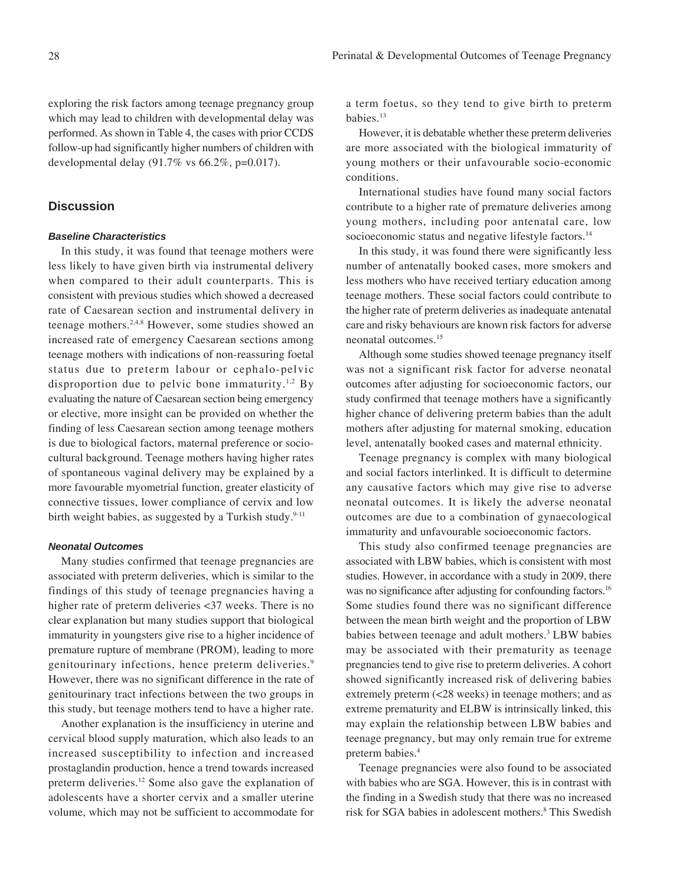exploring the risk factors among teenage pregnancy group which may lead to children with developmental delay was performed. As shown in Table 4, the cases with prior CCDS follow-up had significantly higher numbers of children with developmental delay  $(91.7\% \text{ vs } 66.2\%, \text{p=0.017}).$ 

# **Discussion**

## *Baseline Characteristics*

In this study, it was found that teenage mothers were less likely to have given birth via instrumental delivery when compared to their adult counterparts. This is consistent with previous studies which showed a decreased rate of Caesarean section and instrumental delivery in teenage mothers.2,4,8 However, some studies showed an increased rate of emergency Caesarean sections among teenage mothers with indications of non-reassuring foetal status due to preterm labour or cephalo-pelvic disproportion due to pelvic bone immaturity.<sup>1,2</sup> By evaluating the nature of Caesarean section being emergency or elective, more insight can be provided on whether the finding of less Caesarean section among teenage mothers is due to biological factors, maternal preference or sociocultural background. Teenage mothers having higher rates of spontaneous vaginal delivery may be explained by a more favourable myometrial function, greater elasticity of connective tissues, lower compliance of cervix and low birth weight babies, as suggested by a Turkish study.<sup>9-11</sup>

## *Neonatal Outcomes*

Many studies confirmed that teenage pregnancies are associated with preterm deliveries, which is similar to the findings of this study of teenage pregnancies having a higher rate of preterm deliveries <37 weeks. There is no clear explanation but many studies support that biological immaturity in youngsters give rise to a higher incidence of premature rupture of membrane (PROM), leading to more genitourinary infections, hence preterm deliveries.9 However, there was no significant difference in the rate of genitourinary tract infections between the two groups in this study, but teenage mothers tend to have a higher rate.

Another explanation is the insufficiency in uterine and cervical blood supply maturation, which also leads to an increased susceptibility to infection and increased prostaglandin production, hence a trend towards increased preterm deliveries.12 Some also gave the explanation of adolescents have a shorter cervix and a smaller uterine volume, which may not be sufficient to accommodate for a term foetus, so they tend to give birth to preterm babies.13

However, it is debatable whether these preterm deliveries are more associated with the biological immaturity of young mothers or their unfavourable socio-economic conditions.

International studies have found many social factors contribute to a higher rate of premature deliveries among young mothers, including poor antenatal care, low socioeconomic status and negative lifestyle factors.<sup>14</sup>

In this study, it was found there were significantly less number of antenatally booked cases, more smokers and less mothers who have received tertiary education among teenage mothers. These social factors could contribute to the higher rate of preterm deliveries as inadequate antenatal care and risky behaviours are known risk factors for adverse neonatal outcomes.15

Although some studies showed teenage pregnancy itself was not a significant risk factor for adverse neonatal outcomes after adjusting for socioeconomic factors, our study confirmed that teenage mothers have a significantly higher chance of delivering preterm babies than the adult mothers after adjusting for maternal smoking, education level, antenatally booked cases and maternal ethnicity.

Teenage pregnancy is complex with many biological and social factors interlinked. It is difficult to determine any causative factors which may give rise to adverse neonatal outcomes. It is likely the adverse neonatal outcomes are due to a combination of gynaecological immaturity and unfavourable socioeconomic factors.

This study also confirmed teenage pregnancies are associated with LBW babies, which is consistent with most studies. However, in accordance with a study in 2009, there was no significance after adjusting for confounding factors.<sup>16</sup> Some studies found there was no significant difference between the mean birth weight and the proportion of LBW babies between teenage and adult mothers.<sup>3</sup> LBW babies may be associated with their prematurity as teenage pregnancies tend to give rise to preterm deliveries. A cohort showed significantly increased risk of delivering babies extremely preterm (<28 weeks) in teenage mothers; and as extreme prematurity and ELBW is intrinsically linked, this may explain the relationship between LBW babies and teenage pregnancy, but may only remain true for extreme preterm babies.4

Teenage pregnancies were also found to be associated with babies who are SGA. However, this is in contrast with the finding in a Swedish study that there was no increased risk for SGA babies in adolescent mothers.<sup>8</sup> This Swedish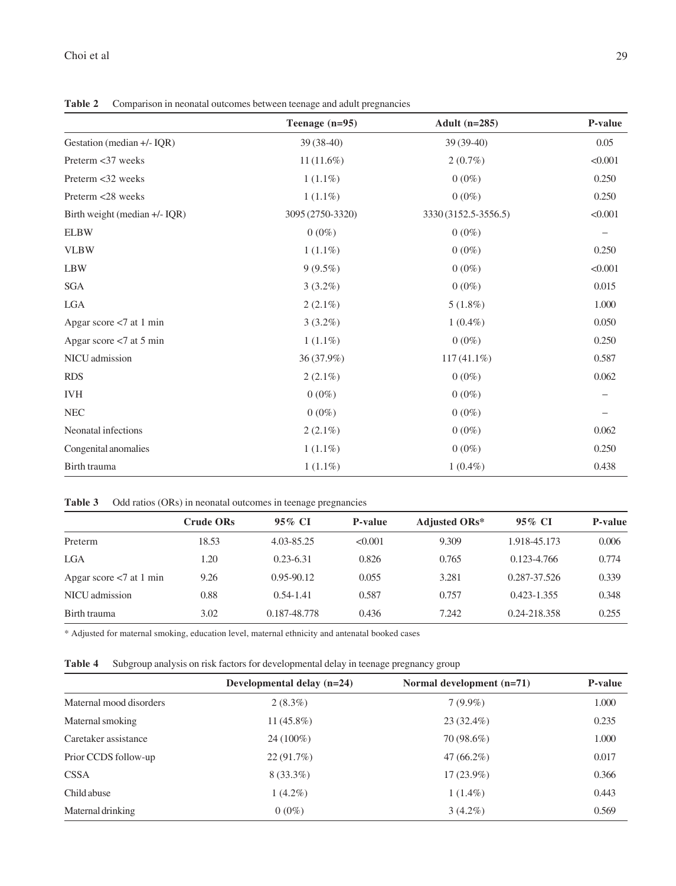**Table 2** Comparison in neonatal outcomes between teenage and adult pregnancies

|                               | Teenage $(n=95)$ | Adult $(n=285)$      | P-value           |
|-------------------------------|------------------|----------------------|-------------------|
| Gestation (median +/- IQR)    | $39(38-40)$      | $39(39-40)$          | 0.05              |
| Preterm <37 weeks             | $11(11.6\%)$     | $2(0.7\%)$           | < 0.001           |
| Preterm <32 weeks             | $1(1.1\%)$       | $0(0\%)$             | 0.250             |
| Preterm <28 weeks             | $1(1.1\%)$       | $0(0\%)$             | 0.250             |
| Birth weight (median +/- IQR) | 3095 (2750-3320) | 3330 (3152.5-3556.5) | < 0.001           |
| <b>ELBW</b>                   | $0(0\%)$         | $0(0\%)$             | $\qquad \qquad -$ |
| <b>VLBW</b>                   | $1(1.1\%)$       | $0(0\%)$             | 0.250             |
| <b>LBW</b>                    | $9(9.5\%)$       | $0(0\%)$             | < 0.001           |
| <b>SGA</b>                    | $3(3.2\%)$       | $0(0\%)$             | 0.015             |
| <b>LGA</b>                    | $2(2.1\%)$       | 5(1.8%)              | 1.000             |
| Apgar score $< 7$ at 1 min    | $3(3.2\%)$       | $1(0.4\%)$           | 0.050             |
| Apgar score <7 at 5 min       | $1(1.1\%)$       | $0(0\%)$             | 0.250             |
| NICU admission                | 36 (37.9%)       | 117 (41.1%)          | 0.587             |
| <b>RDS</b>                    | $2(2.1\%)$       | $0(0\%)$             | 0.062             |
| <b>IVH</b>                    | $0(0\%)$         | $0(0\%)$             |                   |
| NEC                           | $0(0\%)$         | $0(0\%)$             |                   |
| Neonatal infections           | $2(2.1\%)$       | $0(0\%)$             | 0.062             |
| Congenital anomalies          | $1(1.1\%)$       | $0(0\%)$             | 0.250             |
| Birth trauma                  | $1(1.1\%)$       | $1(0.4\%)$           | 0.438             |

# **Table 3** Odd ratios (ORs) in neonatal outcomes in teenage pregnancies

|                            | <b>Crude ORs</b> | 95% CI         | P-value | <b>Adjusted ORs*</b> | 95% CI          | P-value |
|----------------------------|------------------|----------------|---------|----------------------|-----------------|---------|
| Preterm                    | 18.53            | 4.03-85.25     | < 0.001 | 9.309                | 1.918-45.173    | 0.006   |
| <b>LGA</b>                 | 1.20             | $0.23 - 6.31$  | 0.826   | 0.765                | 0.123-4.766     | 0.774   |
| Apgar score $< 7$ at 1 min | 9.26             | $0.95 - 90.12$ | 0.055   | 3.281                | 0.287-37.526    | 0.339   |
| NICU admission             | 0.88             | $0.54 - 1.41$  | 0.587   | 0.757                | $0.423 - 1.355$ | 0.348   |
| Birth trauma               | 3.02             | 0.187-48.778   | 0.436   | 7.242                | 0.24-218.358    | 0.255   |

\* Adjusted for maternal smoking, education level, maternal ethnicity and antenatal booked cases

**Table 4** Subgroup analysis on risk factors for developmental delay in teenage pregnancy group

|                         | Developmental delay $(n=24)$ | Normal development $(n=71)$ | <b>P-value</b> |
|-------------------------|------------------------------|-----------------------------|----------------|
| Maternal mood disorders | $2(8.3\%)$                   | $7(9.9\%)$                  | 1.000          |
| Maternal smoking        | $11(45.8\%)$                 | $23(32.4\%)$                | 0.235          |
| Caretaker assistance    | 24 (100%)                    | 70 (98.6%)                  | 1.000          |
| Prior CCDS follow-up    | 22(91.7%)                    | $47(66.2\%)$                | 0.017          |
| <b>CSSA</b>             | $8(33.3\%)$                  | $17(23.9\%)$                | 0.366          |
| Child abuse             | $1(4.2\%)$                   | $1(1.4\%)$                  | 0.443          |
| Maternal drinking       | $0(0\%)$                     | $3(4.2\%)$                  | 0.569          |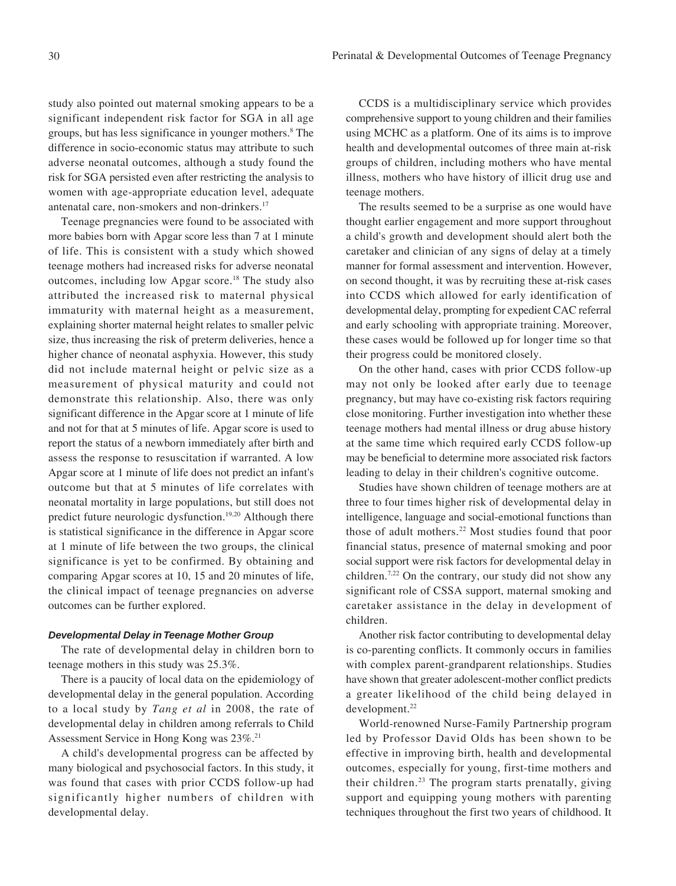study also pointed out maternal smoking appears to be a significant independent risk factor for SGA in all age groups, but has less significance in younger mothers.<sup>8</sup> The difference in socio-economic status may attribute to such adverse neonatal outcomes, although a study found the risk for SGA persisted even after restricting the analysis to women with age-appropriate education level, adequate antenatal care, non-smokers and non-drinkers.17

Teenage pregnancies were found to be associated with more babies born with Apgar score less than 7 at 1 minute of life. This is consistent with a study which showed teenage mothers had increased risks for adverse neonatal outcomes, including low Apgar score.18 The study also attributed the increased risk to maternal physical immaturity with maternal height as a measurement, explaining shorter maternal height relates to smaller pelvic size, thus increasing the risk of preterm deliveries, hence a higher chance of neonatal asphyxia. However, this study did not include maternal height or pelvic size as a measurement of physical maturity and could not demonstrate this relationship. Also, there was only significant difference in the Apgar score at 1 minute of life and not for that at 5 minutes of life. Apgar score is used to report the status of a newborn immediately after birth and assess the response to resuscitation if warranted. A low Apgar score at 1 minute of life does not predict an infant's outcome but that at 5 minutes of life correlates with neonatal mortality in large populations, but still does not predict future neurologic dysfunction.19,20 Although there is statistical significance in the difference in Apgar score at 1 minute of life between the two groups, the clinical significance is yet to be confirmed. By obtaining and comparing Apgar scores at 10, 15 and 20 minutes of life, the clinical impact of teenage pregnancies on adverse outcomes can be further explored.

## *Developmental Delay in Teenage Mother Group*

The rate of developmental delay in children born to teenage mothers in this study was 25.3%.

There is a paucity of local data on the epidemiology of developmental delay in the general population. According to a local study by *Tang et al* in 2008, the rate of developmental delay in children among referrals to Child Assessment Service in Hong Kong was 23%.21

A child's developmental progress can be affected by many biological and psychosocial factors. In this study, it was found that cases with prior CCDS follow-up had significantly higher numbers of children with developmental delay.

CCDS is a multidisciplinary service which provides comprehensive support to young children and their families using MCHC as a platform. One of its aims is to improve health and developmental outcomes of three main at-risk groups of children, including mothers who have mental illness, mothers who have history of illicit drug use and teenage mothers.

The results seemed to be a surprise as one would have thought earlier engagement and more support throughout a child's growth and development should alert both the caretaker and clinician of any signs of delay at a timely manner for formal assessment and intervention. However, on second thought, it was by recruiting these at-risk cases into CCDS which allowed for early identification of developmental delay, prompting for expedient CAC referral and early schooling with appropriate training. Moreover, these cases would be followed up for longer time so that their progress could be monitored closely.

On the other hand, cases with prior CCDS follow-up may not only be looked after early due to teenage pregnancy, but may have co-existing risk factors requiring close monitoring. Further investigation into whether these teenage mothers had mental illness or drug abuse history at the same time which required early CCDS follow-up may be beneficial to determine more associated risk factors leading to delay in their children's cognitive outcome.

Studies have shown children of teenage mothers are at three to four times higher risk of developmental delay in intelligence, language and social-emotional functions than those of adult mothers.<sup>22</sup> Most studies found that poor financial status, presence of maternal smoking and poor social support were risk factors for developmental delay in children.7,22 On the contrary, our study did not show any significant role of CSSA support, maternal smoking and caretaker assistance in the delay in development of children.

Another risk factor contributing to developmental delay is co-parenting conflicts. It commonly occurs in families with complex parent-grandparent relationships. Studies have shown that greater adolescent-mother conflict predicts a greater likelihood of the child being delayed in development.<sup>22</sup>

World-renowned Nurse-Family Partnership program led by Professor David Olds has been shown to be effective in improving birth, health and developmental outcomes, especially for young, first-time mothers and their children.23 The program starts prenatally, giving support and equipping young mothers with parenting techniques throughout the first two years of childhood. It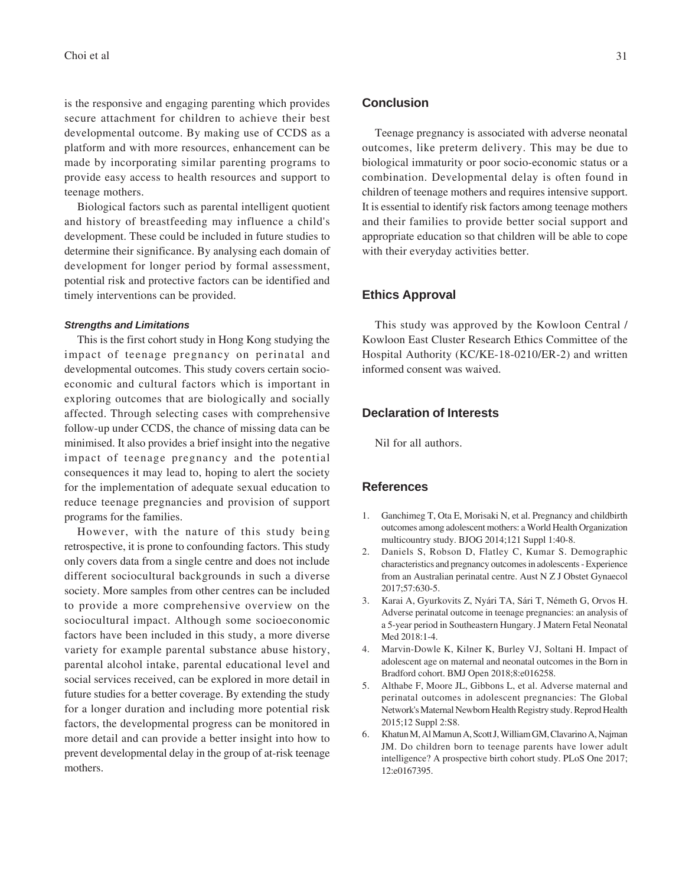is the responsive and engaging parenting which provides secure attachment for children to achieve their best developmental outcome. By making use of CCDS as a platform and with more resources, enhancement can be made by incorporating similar parenting programs to provide easy access to health resources and support to teenage mothers.

Biological factors such as parental intelligent quotient and history of breastfeeding may influence a child's development. These could be included in future studies to determine their significance. By analysing each domain of development for longer period by formal assessment, potential risk and protective factors can be identified and timely interventions can be provided.

## *Strengths and Limitations*

This is the first cohort study in Hong Kong studying the impact of teenage pregnancy on perinatal and developmental outcomes. This study covers certain socioeconomic and cultural factors which is important in exploring outcomes that are biologically and socially affected. Through selecting cases with comprehensive follow-up under CCDS, the chance of missing data can be minimised. It also provides a brief insight into the negative impact of teenage pregnancy and the potential consequences it may lead to, hoping to alert the society for the implementation of adequate sexual education to reduce teenage pregnancies and provision of support programs for the families.

However, with the nature of this study being retrospective, it is prone to confounding factors. This study only covers data from a single centre and does not include different sociocultural backgrounds in such a diverse society. More samples from other centres can be included to provide a more comprehensive overview on the sociocultural impact. Although some socioeconomic factors have been included in this study, a more diverse variety for example parental substance abuse history, parental alcohol intake, parental educational level and social services received, can be explored in more detail in future studies for a better coverage. By extending the study for a longer duration and including more potential risk factors, the developmental progress can be monitored in more detail and can provide a better insight into how to prevent developmental delay in the group of at-risk teenage mothers.

## **Conclusion**

Teenage pregnancy is associated with adverse neonatal outcomes, like preterm delivery. This may be due to biological immaturity or poor socio-economic status or a combination. Developmental delay is often found in children of teenage mothers and requires intensive support. It is essential to identify risk factors among teenage mothers and their families to provide better social support and appropriate education so that children will be able to cope with their everyday activities better.

# **Ethics Approval**

This study was approved by the Kowloon Central / Kowloon East Cluster Research Ethics Committee of the Hospital Authority (KC/KE-18-0210/ER-2) and written informed consent was waived.

# **Declaration of Interests**

Nil for all authors.

# **References**

- 1. Ganchimeg T, Ota E, Morisaki N, et al. Pregnancy and childbirth outcomes among adolescent mothers: a World Health Organization multicountry study. BJOG 2014;121 Suppl 1:40-8.
- 2. Daniels S, Robson D, Flatley C, Kumar S. Demographic characteristics and pregnancy outcomes in adolescents - Experience from an Australian perinatal centre. Aust N Z J Obstet Gynaecol 2017;57:630-5.
- 3. Karai A, Gyurkovits Z, Nyári TA, Sári T, Németh G, Orvos H. Adverse perinatal outcome in teenage pregnancies: an analysis of a 5-year period in Southeastern Hungary. J Matern Fetal Neonatal Med 2018:1-4.
- 4. Marvin-Dowle K, Kilner K, Burley VJ, Soltani H. Impact of adolescent age on maternal and neonatal outcomes in the Born in Bradford cohort. BMJ Open 2018;8:e016258.
- 5. Althabe F, Moore JL, Gibbons L, et al. Adverse maternal and perinatal outcomes in adolescent pregnancies: The Global Network's Maternal Newborn Health Registry study. Reprod Health 2015;12 Suppl 2:S8.
- 6. Khatun M, Al Mamun A, Scott J, William GM, Clavarino A, Najman JM. Do children born to teenage parents have lower adult intelligence? A prospective birth cohort study. PLoS One 2017; 12:e0167395.